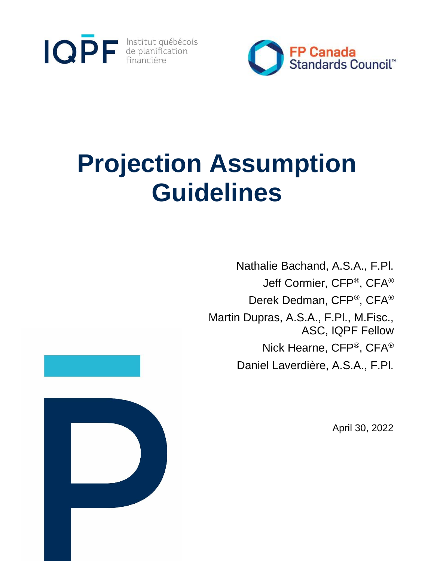



# **Projection Assumption Guidelines**

Nathalie Bachand, A.S.A., F.Pl. Jeff Cormier, CFP®, CFA® Derek Dedman, CFP®, CFA® Martin Dupras, A.S.A., F.Pl., M.Fisc., ASC, IQPF Fellow Nick Hearne, CFP®, CFA® Daniel Laverdière, A.S.A., F.Pl.

April 30, 2022

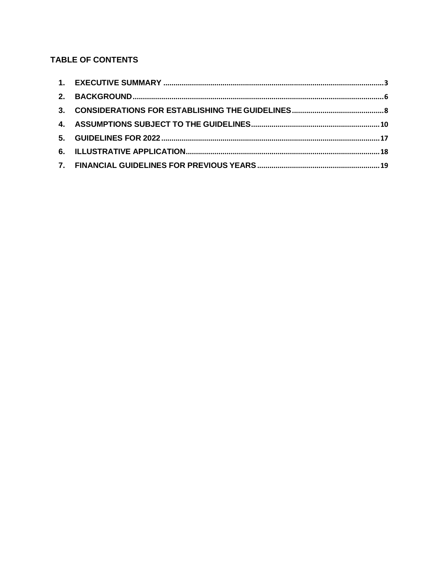# **TABLE OF CONTENTS**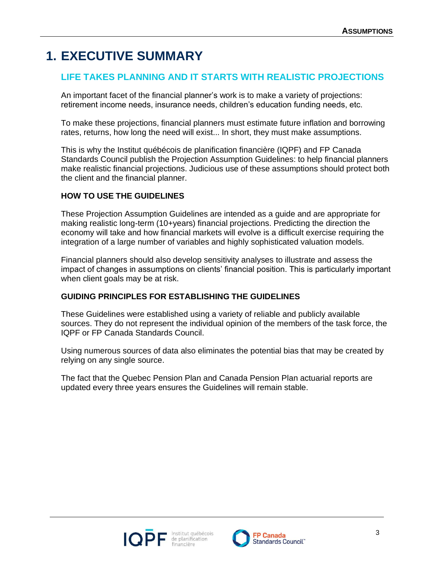# <span id="page-2-0"></span>**1. EXECUTIVE SUMMARY**

# **LIFE TAKES PLANNING AND IT STARTS WITH REALISTIC PROJECTIONS**

An important facet of the financial planner's work is to make a variety of projections: retirement income needs, insurance needs, children's education funding needs, etc.

To make these projections, financial planners must estimate future inflation and borrowing rates, returns, how long the need will exist... In short, they must make assumptions.

This is why the Institut québécois de planification financière (IQPF) and FP Canada Standards Council publish the Projection Assumption Guidelines: to help financial planners make realistic financial projections. Judicious use of these assumptions should protect both the client and the financial planner.

# **HOW TO USE THE GUIDELINES**

These Projection Assumption Guidelines are intended as a guide and are appropriate for making realistic long-term (10+years) financial projections. Predicting the direction the economy will take and how financial markets will evolve is a difficult exercise requiring the integration of a large number of variables and highly sophisticated valuation models.

Financial planners should also develop sensitivity analyses to illustrate and assess the impact of changes in assumptions on clients' financial position. This is particularly important when client goals may be at risk.

# **GUIDING PRINCIPLES FOR ESTABLISHING THE GUIDELINES**

These Guidelines were established using a variety of reliable and publicly available sources. They do not represent the individual opinion of the members of the task force, the IQPF or FP Canada Standards Council.

Using numerous sources of data also eliminates the potential bias that may be created by relying on any single source.

The fact that the Quebec Pension Plan and Canada Pension Plan actuarial reports are updated every three years ensures the Guidelines will remain stable.



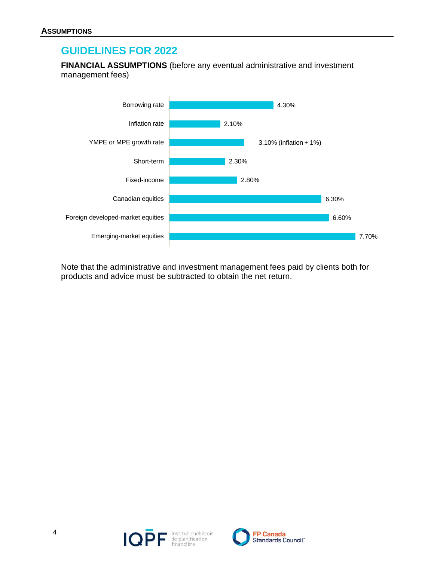# **GUIDELINES FOR 2022**

**FINANCIAL ASSUMPTIONS** (before any eventual administrative and investment management fees)



Note that the administrative and investment management fees paid by clients both for products and advice must be subtracted to obtain the net return.



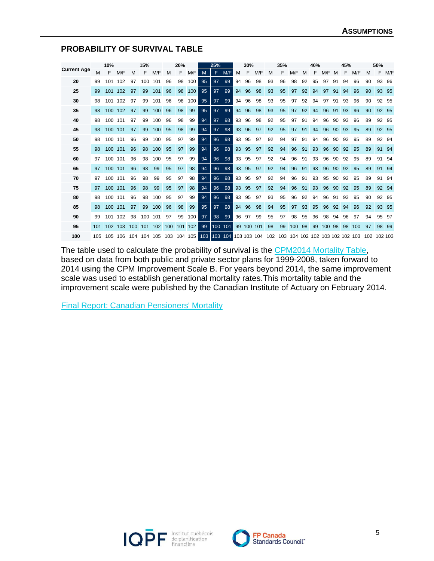#### **PROBABILITY OF SURVIVAL TABLE**

|                    |     | 10%     |     |     | 15%     |     |     | 20% |         |     | 25% |     |    | 30% |                 |    | 35% |                                 |    | 40% |     |    | 45% |     |     | 50%     |       |
|--------------------|-----|---------|-----|-----|---------|-----|-----|-----|---------|-----|-----|-----|----|-----|-----------------|----|-----|---------------------------------|----|-----|-----|----|-----|-----|-----|---------|-------|
| <b>Current Age</b> | М   |         | M/F | м   | F       | M/F | М   | F   | M/F     | M   | F   | M/F | м  | F   | M/F             | М  | F   | M/F                             | м  | F   | M/F | M  | F   | M/F | M   | F       | M/F   |
| 20                 | 99  | 101     | 102 | 97  | 100     | 101 | 96  | 98  | 100     | 95  | 97  | 99  | 94 | 96  | 98              | 93 | 96  | 98                              | 92 | 95  | 97  | 91 | 94  | 96  | 90  | 93      | 96    |
| 25                 | 99  | 101     | 102 | 97  | 99      | 101 | 96  | 98  | 100     | 95  | 97  | 99  | 94 | 96  | 98              | 93 | 95  | 97                              | 92 | 94  | 97  | 91 | 94  | 96  | 90  | 93      | 95    |
| 30                 | 98  | 101     | 102 | 97  | 99      | 101 | 96  | 98  | 100     | 95  | 97  | 99  | 94 | 96  | 98              | 93 | 95  | 97                              | 92 | 94  | 97  | 91 | 93  | 96  | 90  | 92      | 95    |
| 35                 | 98  | 100     | 102 | 97  | 99      | 100 | 96  | 98  | 99      | 95  | 97  | 99  | 94 | 96  | 98              | 93 | 95  | 97                              | 92 | 94  | 96  | 91 | 93  | 96  | 90  |         | 92 95 |
| 40                 | 98  | 100     | 101 | 97  | 99      | 100 | 96  | 98  | 99      | 94  | 97  | 98  | 93 | 96  | 98              | 92 | 95  | 97                              | 91 | 94  | 96  | 90 | 93  | 96  | 89  | 92      | 95    |
| 45                 | 98  | 100     | 101 | 97  | 99      | 100 | 95  | 98  | 99      | 94  | 97  | 98  | 93 | 96  | 97              | 92 | 95  | 97                              | 91 | 94  | 96  | 90 | 93  | 95  | 89  |         | 92 95 |
| 50                 | 98  | 100     | 101 | 96  | 99      | 100 | 95  | 97  | 99      | 94  | 96  | 98  | 93 | 95  | 97              | 92 | 94  | 97                              | 91 | 94  | 96  | 90 | 93  | 95  | 89  | 92      | 94    |
| 55                 | 98  | 100     | 101 | 96  | 98      | 100 | 95  | 97  | 99      | 94  | 96  | 98  | 93 | 95  | 97              | 92 | 94  | 96                              | 91 | 93  | 96  | 90 | 92  | 95  | 89  | 91      | 94    |
| 60                 | 97  | 100     | 101 | 96  | 98      | 100 | 95  | 97  | 99      | 94  | 96  | 98  | 93 | 95  | 97              | 92 | 94  | 96                              | 91 | 93  | 96  | 90 | 92  | 95  | 89  | 91      | 94    |
| 65                 | 97  | 100     | 101 | 96  | 98      | 99  | 95  | 97  | 98      | 94  | 96  | 98  | 93 | 95  | 97              | 92 | 94  | 96                              | 91 | 93  | 96  | 90 | 92  | 95  | 89  | 91      | 94    |
| 70                 | 97  | 100     | 101 | 96  | 98      | 99  | 95  | 97  | 98      | 94  | 96  | 98  | 93 | 95  | 97              | 92 | 94  | 96                              | 91 | 93  | 95  | 90 | 92  | 95  | 89  | 91      | 94    |
| 75                 | 97  | 100     | 101 | 96  | 98      | 99  | 95  | 97  | 98      | 94  | 96  | 98  | 93 | 95  | 97              | 92 | 94  | 96                              | 91 | 93  | 96  | 90 | 92  | 95  | 89  | 92      | 94    |
| 80                 | 98  | 100     | 101 | 96  | 98      | 100 | 95  | 97  | 99      | 94  | 96  | 98  | 93 | 95  | 97              | 93 | 95  | 96                              | 92 | 94  | 96  | 91 | 93  | 95  | 90  | 92      | 95    |
| 85                 | 98  | 100     | 101 | 97  | 99      | 100 | 96  | 98  | 99      | 95  | 97  | 98  | 94 | 96  | 98              | 94 | 95  | 97                              | 93 | 95  | 96  | 92 | 94  | 96  | 92  | 93      | 95    |
| 90                 | 99  | 101     | 102 | 98  | 100     | 101 | 97  | 99  | 100     | 97  | 98  | 99  | 96 | 97  | 99              | 95 | 97  | 98                              | 95 | 96  | 98  | 94 | 96  | 97  | 94  | 95      | 97    |
| 95                 | 101 | 102     | 103 | 100 | 101     | 102 | 100 | 101 | 102     | 99  | 100 | 101 | 99 |     | 100 101         | 98 | 99  | 100                             | 98 | 99  | 100 | 98 | 98  | 100 | 97  |         | 98 99 |
| 100                | 105 | 105 106 |     | 104 | 104 105 |     | 103 |     | 104 105 | 103 | 103 | 104 |    |     | 103 103 104 102 |    |     | 103 104 102 102 103 102 102 103 |    |     |     |    |     |     | 102 | 102 103 |       |

The table used to calculate the probability of survival is the [CPM2014 Mortality Table,](https://www.cia-ica.ca/docs/default-source/2014/214013e.pdf) based on data from both public and private sector plans for 1999-2008, taken forward to 2014 using the CPM Improvement Scale B. For years beyond 2014, the same improvement scale was used to establish generational mortality rates. This mortality table and the improvement scale were published by the Canadian Institute of Actuary on February 2014.

[Final Report: Canadian Pensioners' Mortality](https://www.cia-ica.ca/docs/default-source/2014/214013e.pdf)



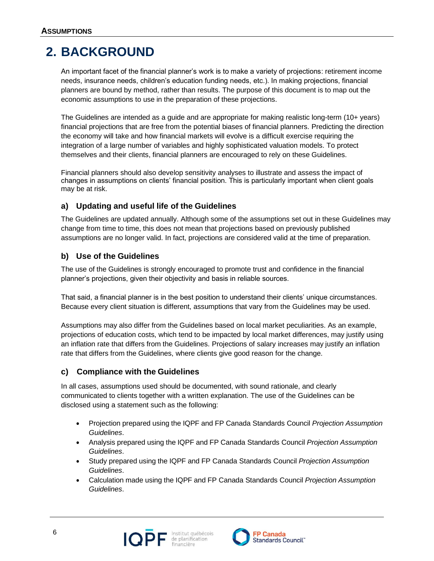# <span id="page-5-0"></span>**2. BACKGROUND**

An important facet of the financial planner's work is to make a variety of projections: retirement income needs, insurance needs, children's education funding needs, etc.). In making projections, financial planners are bound by method, rather than results. The purpose of this document is to map out the economic assumptions to use in the preparation of these projections.

The Guidelines are intended as a guide and are appropriate for making realistic long-term (10+ years) financial projections that are free from the potential biases of financial planners. Predicting the direction the economy will take and how financial markets will evolve is a difficult exercise requiring the integration of a large number of variables and highly sophisticated valuation models. To protect themselves and their clients, financial planners are encouraged to rely on these Guidelines.

Financial planners should also develop sensitivity analyses to illustrate and assess the impact of changes in assumptions on clients' financial position. This is particularly important when client goals may be at risk.

# **a) Updating and useful life of the Guidelines**

The Guidelines are updated annually. Although some of the assumptions set out in these Guidelines may change from time to time, this does not mean that projections based on previously published assumptions are no longer valid. In fact, projections are considered valid at the time of preparation.

# **b) Use of the Guidelines**

The use of the Guidelines is strongly encouraged to promote trust and confidence in the financial planner's projections, given their objectivity and basis in reliable sources.

That said, a financial planner is in the best position to understand their clients' unique circumstances. Because every client situation is different, assumptions that vary from the Guidelines may be used.

Assumptions may also differ from the Guidelines based on local market peculiarities. As an example, projections of education costs, which tend to be impacted by local market differences, may justify using an inflation rate that differs from the Guidelines. Projections of salary increases may justify an inflation rate that differs from the Guidelines, where clients give good reason for the change.

# **c) Compliance with the Guidelines**

In all cases, assumptions used should be documented, with sound rationale, and clearly communicated to clients together with a written explanation. The use of the Guidelines can be disclosed using a statement such as the following:

- Projection prepared using the IQPF and FP Canada Standards Council *Projection Assumption Guidelines*.
- Analysis prepared using the IQPF and FP Canada Standards Council *Projection Assumption Guidelines*.
- Study prepared using the IQPF and FP Canada Standards Council *Projection Assumption Guidelines*.
- Calculation made using the IQPF and FP Canada Standards Council *Projection Assumption Guidelines*.



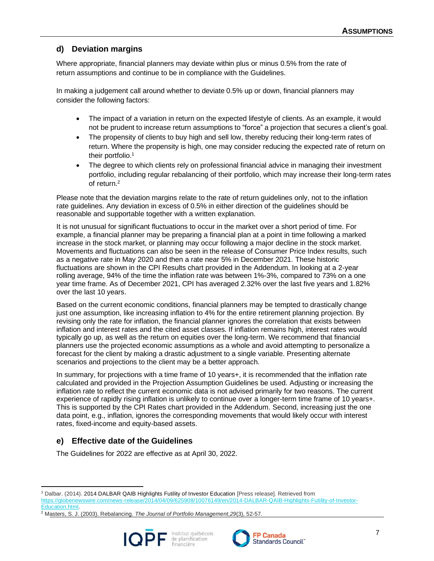# **d) Deviation margins**

Where appropriate, financial planners may deviate within plus or minus 0.5% from the rate of return assumptions and continue to be in compliance with the Guidelines.

In making a judgement call around whether to deviate 0.5% up or down, financial planners may consider the following factors:

- The impact of a variation in return on the expected lifestyle of clients. As an example, it would not be prudent to increase return assumptions to "force" a projection that secures a client's goal.
- The propensity of clients to buy high and sell low, thereby reducing their long-term rates of return. Where the propensity is high, one may consider reducing the expected rate of return on their portfolio.<sup>1</sup>
- The degree to which clients rely on professional financial advice in managing their investment portfolio, including regular rebalancing of their portfolio, which may increase their long-term rates of return.<sup>2</sup>

Please note that the deviation margins relate to the rate of return guidelines only, not to the inflation rate guidelines. Any deviation in excess of 0.5% in either direction of the guidelines should be reasonable and supportable together with a written explanation.

It is not unusual for significant fluctuations to occur in the market over a short period of time. For example, a financial planner may be preparing a financial plan at a point in time following a marked increase in the stock market, or planning may occur following a major decline in the stock market. Movements and fluctuations can also be seen in the release of Consumer Price Index results, such as a negative rate in May 2020 and then a rate near 5% in December 2021. These historic fluctuations are shown in the CPI Results chart provided in the Addendum. In looking at a 2-year rolling average, 94% of the time the inflation rate was between 1%-3%, compared to 73% on a one year time frame. As of December 2021, CPI has averaged 2.32% over the last five years and 1.82% over the last 10 years.

Based on the current economic conditions, financial planners may be tempted to drastically change just one assumption, like increasing inflation to 4% for the entire retirement planning projection. By revising only the rate for inflation, the financial planner ignores the correlation that exists between inflation and interest rates and the cited asset classes. If inflation remains high, interest rates would typically go up, as well as the return on equities over the long-term. We recommend that financial planners use the projected economic assumptions as a whole and avoid attempting to personalize a forecast for the client by making a drastic adjustment to a single variable. Presenting alternate scenarios and projections to the client may be a better approach.

In summary, for projections with a time frame of 10 years+, it is recommended that the inflation rate calculated and provided in the Projection Assumption Guidelines be used. Adjusting or increasing the inflation rate to reflect the current economic data is not advised primarily for two reasons. The current experience of rapidly rising inflation is unlikely to continue over a longer-term time frame of 10 years+. This is supported by the CPI Rates chart provided in the Addendum. Second, increasing just the one data point, e.g., inflation, ignores the corresponding movements that would likely occur with interest rates, fixed-income and equity-based assets.

# **e) Effective date of the Guidelines**

The Guidelines for 2022 are effective as at April 30, 2022.

<sup>2</sup> Masters, S. J. (2003). Rebalancing. *The Journal of Portfolio Management*,*29*(3), 52-57.





<sup>1</sup> Dalbar. (2014). 2014 DALBAR QAIB Highlights Futility of Investor Education [Press release]. Retrieved from

[https://globenewswire.com/news-release/2014/04/09/625908/10076149/en/2014-DALBAR-QAIB-Highlights-Futility-of-Investor-](https://globenewswire.com/news-release/2014/04/09/625908/10076149/en/2014-DALBAR-QAIB-Highlights-Futility-of-Investor-Education.html)[Education.html.](https://globenewswire.com/news-release/2014/04/09/625908/10076149/en/2014-DALBAR-QAIB-Highlights-Futility-of-Investor-Education.html)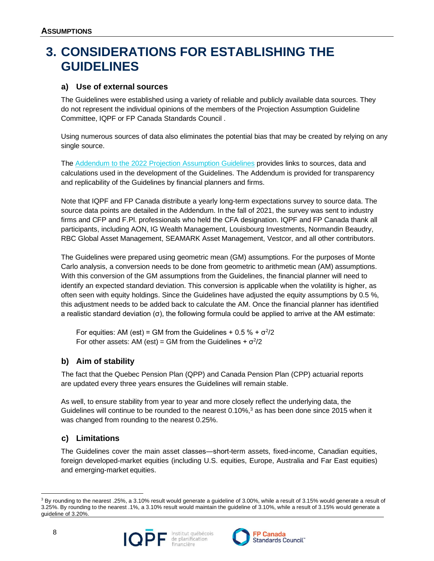# <span id="page-7-0"></span>**3. CONSIDERATIONS FOR ESTABLISHING THE GUIDELINES**

#### **a) Use of external sources**

The Guidelines were established using a variety of reliable and publicly available data sources. They do not represent the individual opinions of the members of the Projection Assumption Guideline Committee, IQPF or FP Canada Standards Council .

Using numerous sources of data also eliminates the potential bias that may be created by relying on any single source.

The Addendum to the 2022 [Projection Assumption Guidelines](https://www.iqpf.org/docs/default-source/outils/iqpf-2022-pag-addendum.xlsx) provides links to sources, data and calculations used in the development of the Guidelines. The Addendum is provided for transparency and replicability of the Guidelines by financial planners and firms.

Note that IQPF and FP Canada distribute a yearly long-term expectations survey to source data. The source data points are detailed in the Addendum. In the fall of 2021, the survey was sent to industry firms and CFP and F.Pl. professionals who held the CFA designation. IQPF and FP Canada thank all participants, including AON, IG Wealth Management, Louisbourg Investments, Normandin Beaudry, RBC Global Asset Management, SEAMARK Asset Management, Vestcor, and all other contributors.

The Guidelines were prepared using geometric mean (GM) assumptions. For the purposes of Monte Carlo analysis, a conversion needs to be done from geometric to arithmetic mean (AM) assumptions. With this conversion of the GM assumptions from the Guidelines, the financial planner will need to identify an expected standard deviation. This conversion is applicable when the volatility is higher, as often seen with equity holdings. Since the Guidelines have adjusted the equity assumptions by 0.5 %, this adjustment needs to be added back to calculate the AM. Once the financial planner has identified a realistic standard deviation (σ), the following formula could be applied to arrive at the AM estimate:

For equities: AM (est) = GM from the Guidelines +  $0.5\% + \sigma^2/2$ For other assets: AM (est) = GM from the Guidelines +  $\sigma^2/2$ 

# **b) Aim of stability**

The fact that the Quebec Pension Plan (QPP) and Canada Pension Plan (CPP) actuarial reports are updated every three years ensures the Guidelines will remain stable.

As well, to ensure stability from year to year and more closely reflect the underlying data, the Guidelines will continue to be rounded to the nearest  $0.10\%,$ <sup>3</sup> as has been done since 2015 when it was changed from rounding to the nearest 0.25%.

# **c) Limitations**

The Guidelines cover the main asset classes―short-term assets, fixed-income, Canadian equities, foreign developed-market equities (including U.S. equities, Europe, Australia and Far East equities) and emerging-market equities.

<sup>&</sup>lt;sup>3</sup> By rounding to the nearest .25%, a 3.10% result would generate a guideline of 3.00%, while a result of 3.15% would generate a result of 3.25%. By rounding to the nearest .1%, a 3.10% result would maintain the guideline of 3.10%, while a result of 3.15% would generate a guideline of 3.20%.



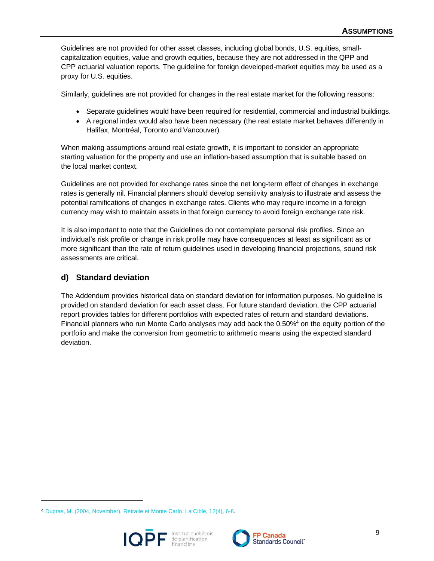Guidelines are not provided for other asset classes, including global bonds, U.S. equities, smallcapitalization equities, value and growth equities, because they are not addressed in the QPP and CPP actuarial valuation reports. The guideline for foreign developed-market equities may be used as a proxy for U.S. equities.

Similarly, guidelines are not provided for changes in the real estate market for the following reasons:

- Separate guidelines would have been required for residential, commercial and industrial buildings.
- A regional index would also have been necessary (the real estate market behaves differently in Halifax, Montréal, Toronto and Vancouver).

When making assumptions around real estate growth, it is important to consider an appropriate starting valuation for the property and use an inflation-based assumption that is suitable based on the local market context.

Guidelines are not provided for exchange rates since the net long-term effect of changes in exchange rates is generally nil. Financial planners should develop sensitivity analysis to illustrate and assess the potential ramifications of changes in exchange rates. Clients who may require income in a foreign currency may wish to maintain assets in that foreign currency to avoid foreign exchange rate risk.

It is also important to note that the Guidelines do not contemplate personal risk profiles. Since an individual's risk profile or change in risk profile may have consequences at least as significant as or more significant than the rate of return guidelines used in developing financial projections, sound risk assessments are critical.

### **d) Standard deviation**

The Addendum provides historical data on standard deviation for information purposes. No guideline is provided on standard deviation for each asset class. For future standard deviation, the CPP actuarial report provides tables for different portfolios with expected rates of return and standard deviations. Financial planners who run Monte Carlo analyses may add back the 0.50%<sup>4</sup> on the equity portion of the portfolio and make the conversion from geometric to arithmetic means using the expected standard deviation.

<sup>4</sup> [Dupras, M. \(2004, November\). Retraite et Monte Carlo. La Cible, 12\(4\), 6-8.](https://www.iqpf.org/docs/default-source/outils/pag-retirement-and-monte-carlo.pdf)



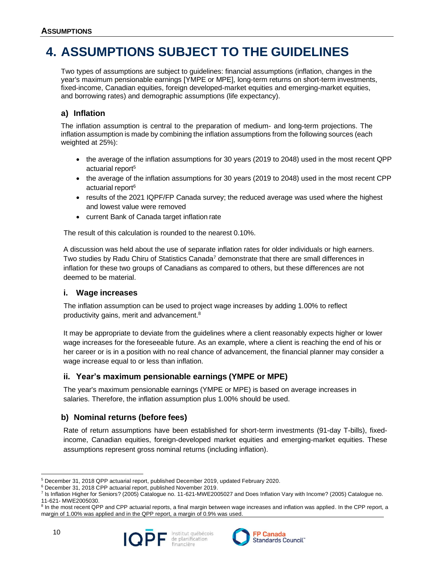# <span id="page-9-0"></span>**4. ASSUMPTIONS SUBJECT TO THE GUIDELINES**

Two types of assumptions are subject to guidelines: financial assumptions (inflation, changes in the year's maximum pensionable earnings [YMPE or MPE], long-term returns on short-term investments, fixed-income, Canadian equities, foreign developed-market equities and emerging-market equities, and borrowing rates) and demographic assumptions (life expectancy).

# **a) Inflation**

The inflation assumption is central to the preparation of medium- and long-term projections. The inflation assumption is made by combining the inflation assumptions from the following sources (each weighted at 25%):

- the average of the inflation assumptions for 30 years (2019 to 2048) used in the most recent QPP actuarial report<sup>5</sup>
- the average of the inflation assumptions for 30 years (2019 to 2048) used in the most recent CPP actuarial report<sup>6</sup>
- results of the 2021 IQPF/FP Canada survey; the reduced average was used where the highest and lowest value were removed
- current Bank of Canada target inflation rate

The result of this calculation is rounded to the nearest 0.10%.

A discussion was held about the use of separate inflation rates for older individuals or high earners. Two studies by Radu Chiru of Statistics Canada<sup>7</sup> demonstrate that there are small differences in inflation for these two groups of Canadians as compared to others, but these differences are not deemed to be material.

#### **i. Wage increases**

The inflation assumption can be used to project wage increases by adding 1.00% to reflect productivity gains, merit and advancement.<sup>8</sup>

It may be appropriate to deviate from the guidelines where a client reasonably expects higher or lower wage increases for the foreseeable future. As an example, where a client is reaching the end of his or her career or is in a position with no real chance of advancement, the financial planner may consider a wage increase equal to or less than inflation.

# **ii. Year's maximum pensionable earnings (YMPE or MPE)**

The year's maximum pensionable earnings (YMPE or MPE) is based on average increases in salaries. Therefore, the inflation assumption plus 1.00% should be used.

# **b) Nominal returns (before fees)**

Rate of return assumptions have been established for short-term investments (91-day T-bills), fixedincome, Canadian equities, foreign-developed market equities and emerging-market equities. These assumptions represent gross nominal returns (including inflation).



<sup>5</sup> December 31, 2018 QPP actuarial report, published December 2019, updated February 2020.

<sup>6</sup> December 31, 2018 CPP actuarial report, published November 2019.

<sup>7</sup> Is Inflation Higher for Seniors? (2005) Catalogue no. 11-621-MWE2005027 and Does Inflation Vary with Income? (2005) Catalogue no. 11-621- MWE2005030.

<sup>&</sup>lt;sup>8</sup> In the most recent QPP and CPP actuarial reports, a final margin between wage increases and inflation was applied. In the CPP report, a margin of 1.00% was applied and in the QPP report, a margin of 0.9% was used.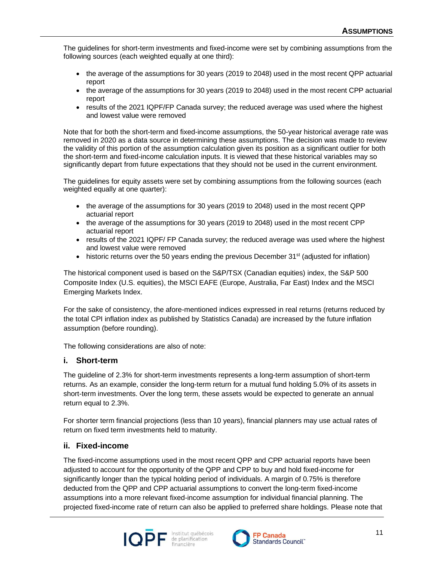The guidelines for short-term investments and fixed-income were set by combining assumptions from the following sources (each weighted equally at one third):

- the average of the assumptions for 30 years (2019 to 2048) used in the most recent QPP actuarial report
- the average of the assumptions for 30 years (2019 to 2048) used in the most recent CPP actuarial report
- results of the 2021 IQPF/FP Canada survey; the reduced average was used where the highest and lowest value were removed

Note that for both the short-term and fixed-income assumptions, the 50-year historical average rate was removed in 2020 as a data source in determining these assumptions. The decision was made to review the validity of this portion of the assumption calculation given its position as a significant outlier for both the short-term and fixed-income calculation inputs. It is viewed that these historical variables may so significantly depart from future expectations that they should not be used in the current environment.

The guidelines for equity assets were set by combining assumptions from the following sources (each weighted equally at one quarter):

- the average of the assumptions for 30 years (2019 to 2048) used in the most recent QPP actuarial report
- the average of the assumptions for 30 years (2019 to 2048) used in the most recent CPP actuarial report
- results of the 2021 IQPF/ FP Canada survey; the reduced average was used where the highest and lowest value were removed
- historic returns over the 50 years ending the previous December 31<sup>st</sup> (adjusted for inflation)

The historical component used is based on the S&P/TSX (Canadian equities) index, the S&P 500 Composite Index (U.S. equities), the MSCI EAFE (Europe, Australia, Far East) Index and the MSCI Emerging Markets Index.

For the sake of consistency, the afore-mentioned indices expressed in real returns (returns reduced by the total CPI inflation index as published by Statistics Canada) are increased by the future inflation assumption (before rounding).

The following considerations are also of note:

#### **i. Short-term**

The guideline of 2.3% for short-term investments represents a long-term assumption of short-term returns. As an example, consider the long-term return for a mutual fund holding 5.0% of its assets in short-term investments. Over the long term, these assets would be expected to generate an annual return equal to 2.3%.

For shorter term financial projections (less than 10 years), financial planners may use actual rates of return on fixed term investments held to maturity.

#### **ii. Fixed-income**

The fixed-income assumptions used in the most recent QPP and CPP actuarial reports have been adjusted to account for the opportunity of the QPP and CPP to buy and hold fixed-income for significantly longer than the typical holding period of individuals. A margin of 0.75% is therefore deducted from the QPP and CPP actuarial assumptions to convert the long-term fixed-income assumptions into a more relevant fixed-income assumption for individual financial planning. The projected fixed-income rate of return can also be applied to preferred share holdings. Please note that



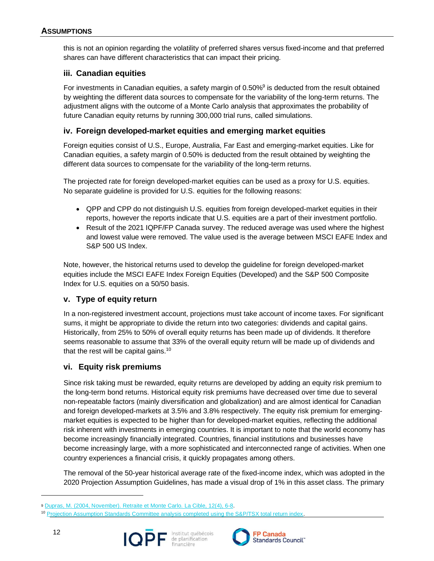this is not an opinion regarding the volatility of preferred shares versus fixed-income and that preferred shares can have different characteristics that can impact their pricing.

#### **iii. Canadian equities**

For investments in Canadian equities, a safety margin of  $0.50\%$ <sup>9</sup> is deducted from the result obtained by weighting the different data sources to compensate for the variability of the long-term returns. The adjustment aligns with the outcome of a Monte Carlo analysis that approximates the probability of future Canadian equity returns by running 300,000 trial runs, called simulations.

#### **iv. Foreign developed-market equities and emerging market equities**

Foreign equities consist of U.S., Europe, Australia, Far East and emerging-market equities. Like for Canadian equities, a safety margin of 0.50% is deducted from the result obtained by weighting the different data sources to compensate for the variability of the long-term returns.

The projected rate for foreign developed-market equities can be used as a proxy for U.S. equities. No separate guideline is provided for U.S. equities for the following reasons:

- QPP and CPP do not distinguish U.S. equities from foreign developed-market equities in their reports, however the reports indicate that U.S. equities are a part of their investment portfolio.
- Result of the 2021 IQPF/FP Canada survey. The reduced average was used where the highest and lowest value were removed. The value used is the average between MSCI EAFE Index and S&P 500 US Index.

Note, however, the historical returns used to develop the guideline for foreign developed-market equities include the MSCI EAFE Index Foreign Equities (Developed) and the S&P 500 Composite Index for U.S. equities on a 50/50 basis.

#### **v. Type of equity return**

In a non-registered investment account, projections must take account of income taxes. For significant sums, it might be appropriate to divide the return into two categories: dividends and capital gains. Historically, from 25% to 50% of overall equity returns has been made up of dividends. It therefore seems reasonable to assume that 33% of the overall equity return will be made up of dividends and that the rest will be capital gains.<sup>10</sup>

#### **vi. Equity risk premiums**

Since risk taking must be rewarded, equity returns are developed by adding an equity risk premium to the long-term bond returns. Historical equity risk premiums have decreased over time due to several non-repeatable factors (mainly diversification and globalization) and are almost identical for Canadian and foreign developed-markets at 3.5% and 3.8% respectively. The equity risk premium for emergingmarket equities is expected to be higher than for developed-market equities, reflecting the additional risk inherent with investments in emerging countries. It is important to note that the world economy has become increasingly financially integrated. Countries, financial institutions and businesses have become increasingly large, with a more sophisticated and interconnected range of activities. When one country experiences a financial crisis, it quickly propagates among others.

The removal of the 50-year historical average rate of the fixed-income index, which was adopted in the 2020 Projection Assumption Guidelines, has made a visual drop of 1% in this asset class. The primary

<sup>&</sup>lt;sup>10</sup> [Projection Assumption Standards Committee analysis completed using the S&P/TSX total return index.](https://www.iqpf.org/docs/default-source/outils/pag-background-information-supporting-breakdown-of-equity-returns.pdf)





<sup>9</sup> [Dupras, M. \(2004, November\). Retraite et Monte Carlo. La Cible, 12\(4\), 6-8.](https://www.iqpf.org/docs/default-source/outils/pag-retirement-and-monte-carlo.pdf)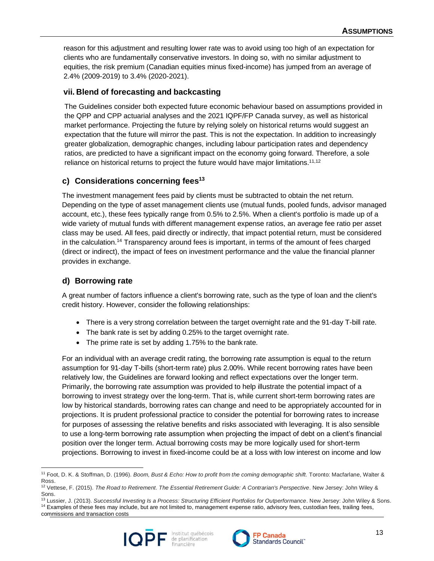reason for this adjustment and resulting lower rate was to avoid using too high of an expectation for clients who are fundamentally conservative investors. In doing so, with no similar adjustment to equities, the risk premium (Canadian equities minus fixed-income) has jumped from an average of 2.4% (2009-2019) to 3.4% (2020-2021).

### **vii. Blend of forecasting and backcasting**

The Guidelines consider both expected future economic behaviour based on assumptions provided in the QPP and CPP actuarial analyses and the 2021 IQPF/FP Canada survey, as well as historical market performance. Projecting the future by relying solely on historical returns would suggest an expectation that the future will mirror the past. This is not the expectation. In addition to increasingly greater globalization, demographic changes, including labour participation rates and dependency ratios, are predicted to have a significant impact on the economy going forward. Therefore, a sole reliance on historical returns to project the future would have major limitations.<sup>11,12</sup>

# **c) Considerations concerning fees<sup>13</sup>**

The investment management fees paid by clients must be subtracted to obtain the net return. Depending on the type of asset management clients use (mutual funds, pooled funds, advisor managed account, etc.), these fees typically range from 0.5% to 2.5%. When a client's portfolio is made up of a wide variety of mutual funds with different management expense ratios, an average fee ratio per asset class may be used. All fees, paid directly or indirectly, that impact potential return, must be considered in the calculation.<sup>14</sup> Transparency around fees is important, in terms of the amount of fees charged (direct or indirect), the impact of fees on investment performance and the value the financial planner provides in exchange.

### **d) Borrowing rate**

A great number of factors influence a client's borrowing rate, such as the type of loan and the client's credit history. However, consider the following relationships:

- There is a very strong correlation between the target overnight rate and the 91-day T-bill rate.
- The bank rate is set by adding 0.25% to the target overnight rate.
- The prime rate is set by adding 1.75% to the bank rate.

For an individual with an average credit rating, the borrowing rate assumption is equal to the return assumption for 91-day T-bills (short-term rate) plus 2.00%. While recent borrowing rates have been relatively low, the Guidelines are forward looking and reflect expectations over the longer term. Primarily, the borrowing rate assumption was provided to help illustrate the potential impact of a borrowing to invest strategy over the long-term. That is, while current short-term borrowing rates are low by historical standards, borrowing rates can change and need to be appropriately accounted for in projections. It is prudent professional practice to consider the potential for borrowing rates to increase for purposes of assessing the relative benefits and risks associated with leveraging. It is also sensible to use a long-term borrowing rate assumption when projecting the impact of debt on a client's financial position over the longer term. Actual borrowing costs may be more logically used for short-term projections. Borrowing to invest in fixed-income could be at a loss with low interest on income and low

commissions and transaction costs





<sup>11</sup> Foot, D. K. & Stoffman, D. (1996). *Boom, Bust & Echo: How to profit from the coming demographic shift.* Toronto: Macfarlane, Walter & Ross.

<sup>12</sup> Vettese, F. (2015). *The Road to Retirement*. *The Essential Retirement Guide: A Contrarian's Perspective*. New Jersey: John Wiley & Sons.

<sup>13</sup> Lussier, J. (2013). *Successful Investing Is a Process: Structuring Efficient Portfolios for Outperformance*. New Jersey: John Wiley & Sons. <sup>14</sup> Examples of these fees may include, but are not limited to, management expense ratio, advisory fees, custodian fees, trailing fees,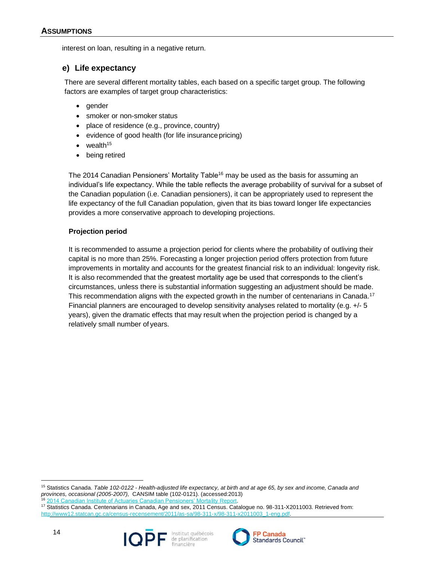interest on loan, resulting in a negative return.

#### **e) Life expectancy**

There are several different mortality tables, each based on a specific target group. The following factors are examples of target group characteristics:

- gender
- smoker or non-smoker status
- place of residence (e.g., province, country)
- evidence of good health (for life insurance pricing)
- wealth $15$
- being retired

The 2014 Canadian Pensioners' Mortality Table<sup>16</sup> may be used as the basis for assuming an individual's life expectancy. While the table reflects the average probability of survival for a subset of the Canadian population (i.e. Canadian pensioners), it can be appropriately used to represent the life expectancy of the full Canadian population, given that its bias toward longer life expectancies provides a more conservative approach to developing projections.

#### **Projection period**

It is recommended to assume a projection period for clients where the probability of outliving their capital is no more than 25%. Forecasting a longer projection period offers protection from future improvements in mortality and accounts for the greatest financial risk to an individual: longevity risk. It is also recommended that the greatest mortality age be used that corresponds to the client's circumstances, unless there is substantial information suggesting an adjustment should be made. This recommendation aligns with the expected growth in the number of centenarians in Canada.<sup>17</sup> Financial planners are encouraged to develop sensitivity analyses related to mortality (e.g. +/- 5 years), given the dramatic effects that may result when the projection period is changed by a relatively small number of years.

<sup>17</sup> Statistics Canada. Centenarians in Canada, Age and sex, 2011 Census. Catalogue no. 98-311-X2011003. Retrieved from: http://www12.statcan.gc.ca/census-recensement/2011/as-sa/98-311-x/98-311-x2011003\_1-eng.pdf



14



<sup>15</sup> Statistics Canada. *Table 102-0122 - Health-adjusted life expectancy, at birth and at age 65, by sex and income, Canada and provinces, occasional (2005-2007),* CANSIM table (102-0121). (accessed:2013) 2014 Canadian Institute of Actuaries Canadian Pensioners' Mortality Repo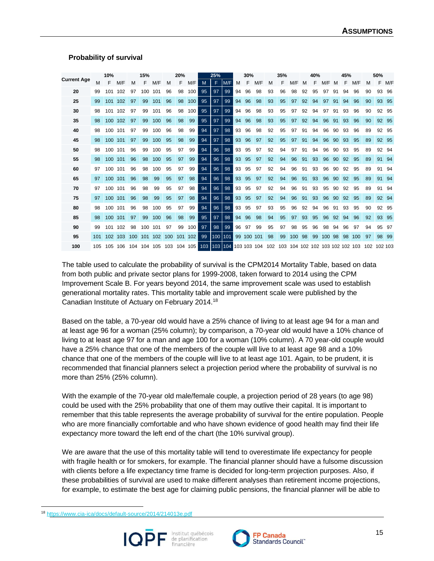#### **Probability of survival**

|                    |     | 10%         |     |     | 15%     |     |     | 20% |     |     | 25% |     |    | 30%        |             |     | 35% |                                 |    | 40% |     |    | 45% |     |    | 50%         |       |
|--------------------|-----|-------------|-----|-----|---------|-----|-----|-----|-----|-----|-----|-----|----|------------|-------------|-----|-----|---------------------------------|----|-----|-----|----|-----|-----|----|-------------|-------|
| <b>Current Age</b> | м   | F           | M/F | м   | F       | M/F | M   | F   | M/F | M   | F   | M/F | м  | F          | M/F         | M   | F   | M/F                             | м  | F   | M/F | M  | F   | M/F | M  | F           | M/F   |
| 20                 | 99  | 101         | 102 | 97  | 100     | 101 | 96  | 98  | 100 | 95  | 97  | 99  | 94 | 96         | 98          | 93  | 96  | 98                              | 92 | 95  | 97  | 91 | 94  | 96  | 90 | 93          | -96   |
| 25                 | 99  | 101         | 102 | 97  | 99      | 101 | 96  | 98  | 100 | 95  | 97  | 99  | 94 | 96         | 98          | 93  | 95  | 97                              | 92 | 94  | 97  | 91 | 94  | 96  | 90 | 93          | 95    |
| 30                 | 98  | 101         | 102 | 97  | 99      | 101 | 96  | 98  | 100 | 95  | 97  | 99  | 94 | 96         | 98          | 93  | 95  | 97                              | 92 | 94  | 97  | 91 | 93  | 96  | 90 | 92          | -95   |
| 35                 | 98  | 100         | 102 | 97  | 99      | 100 | 96  | 98  | 99  | 95  | 97  | 99  | 94 | 96         | 98          | 93  | 95  | 97                              | 92 | 94  | 96  | 91 | 93  | 96  | 90 |             | 92 95 |
| 40                 | 98  | 100         | 101 | 97  | 99      | 100 | 96  | 98  | 99  | 94  | 97  | 98  | 93 | 96         | 98          | 92  | 95  | 97                              | 91 | 94  | 96  | 90 | 93  | 96  | 89 | 92          | 95    |
| 45                 | 98  | 100         | 101 | 97  | 99      | 100 | 95  | 98  | 99  | 94  | 97  | 98  | 93 | 96         | 97          | 92  | 95  | 97                              | 91 | 94  | 96  | 90 | 93  | 95  | 89 | 92          | 95    |
| 50                 | 98  | 100         | 101 | 96  | 99      | 100 | 95  | 97  | 99  | 94  | 96  | 98  | 93 | 95         | 97          | 92  | 94  | 97                              | 91 | 94  | 96  | 90 | 93  | 95  | 89 | 92          | 94    |
| 55                 | 98  | 100         | 101 | 96  | 98      | 100 | 95  | 97  | 99  | 94  | 96  | 98  | 93 | 95         | 97          | 92  | 94  | 96                              | 91 | 93  | 96  | 90 | 92  | 95  | 89 | 91          | 94    |
| 60                 | 97  | 100         | 101 | 96  | 98      | 100 | 95  | 97  | 99  | 94  | 96  | 98  | 93 | 95         | 97          | 92  | 94  | 96                              | 91 | 93  | 96  | 90 | 92  | 95  | 89 | 91          | 94    |
| 65                 | 97  | 100         | 101 | 96  | 98      | 99  | 95  | 97  | 98  | 94  | 96  | 98  | 93 | 95         | 97          | 92  | 94  | 96                              | 91 | 93  | 96  | 90 | 92  | 95  | 89 | 91          | 94    |
| 70                 | 97  | 100         | 101 | 96  | 98      | 99  | 95  | 97  | 98  | 94  | 96  | 98  | 93 | 95         | 97          | 92  | 94  | 96                              | 91 | 93  | 95  | 90 | 92  | 95  | 89 | 91          | 94    |
| 75                 | 97  | 100         | 101 | 96  | 98      | 99  | 95  | 97  | 98  | 94  | 96  | 98  | 93 | 95         | 97          | 92  | 94  | 96                              | 91 | 93  | 96  | 90 | 92  | 95  | 89 | 92          | -94   |
| 80                 | 98  | 100         | 101 | 96  | 98      | 100 | 95  | 97  | 99  | 94  | 96  | 98  | 93 | 95         | 97          | 93  | 95  | 96                              | 92 | 94  | 96  | 91 | 93  | 95  | 90 | 92          | 95    |
| 85                 | 98  | 100         | 101 | 97  | 99      | 100 | 96  | 98  | 99  | 95  | 97  | 98  | 94 | 96         | 98          | 94  | 95  | 97                              | 93 | 95  | 96  | 92 | 94  | 96  | 92 | 93          | 95    |
| 90                 | 99  | 101         | 102 | 98  | 100     | 101 | 97  | 99  | 100 | 97  | 98  | 99  | 96 | 97         | 99          | 95  | 97  | 98                              | 95 | 96  | 98  | 94 | 96  | 97  | 94 | 95          | 97    |
| 95                 | 101 | 102 103     |     | 100 | 101     | 102 | 100 | 101 | 102 | 99  | 100 | 101 |    | 99 100 101 |             | 98  | 99  | 100                             | 98 | 99  | 100 | 98 | 98  | 100 | 97 | 98          | -99   |
| 100                |     | 105 105 106 |     | 104 | 104 105 |     | 103 | 104 | 105 | 103 | 103 | 104 |    |            | 103 103 104 | 102 |     | 103 104 102 102 103 102 102 103 |    |     |     |    |     |     |    | 102 102 103 |       |

The table used to calculate the probability of survival is the CPM2014 Mortality Table, based on data from both public and private sector plans for 1999-2008, taken forward to 2014 using the CPM Improvement Scale B. For years beyond 2014, the same improvement scale was used to establish generational mortality rates. This mortality table and improvement scale were published by the Canadian Institute of Actuary on February 2014.<sup>18</sup>

Based on the table, a 70-year old would have a 25% chance of living to at least age 94 for a man and at least age 96 for a woman (25% column); by comparison, a 70-year old would have a 10% chance of living to at least age 97 for a man and age 100 for a woman (10% column). A 70 year-old couple would have a 25% chance that one of the members of the couple will live to at least age 98 and a 10% chance that one of the members of the couple will live to at least age 101. Again, to be prudent, it is recommended that financial planners select a projection period where the probability of survival is no more than 25% (25% column).

With the example of the 70-year old male/female couple, a projection period of 28 years (to age 98) could be used with the 25% probability that one of them may outlive their capital. It is important to remember that this table represents the average probability of survival for the entire population. People who are more financially comfortable and who have shown evidence of good health may find their life expectancy more toward the left end of the chart (the 10% survival group).

We are aware that the use of this mortality table will tend to overestimate life expectancy for people with fragile health or for smokers, for example. The financial planner should have a fulsome discussion with clients before a life expectancy time frame is decided for long-term projection purposes. Also, if these probabilities of survival are used to make different analyses than retirement income projections, for example, to estimate the best age for claiming public pensions, the financial planner will be able to

<sup>18</sup> <https://www.cia-ica/docs/default-source/2014/214013e.pdf>



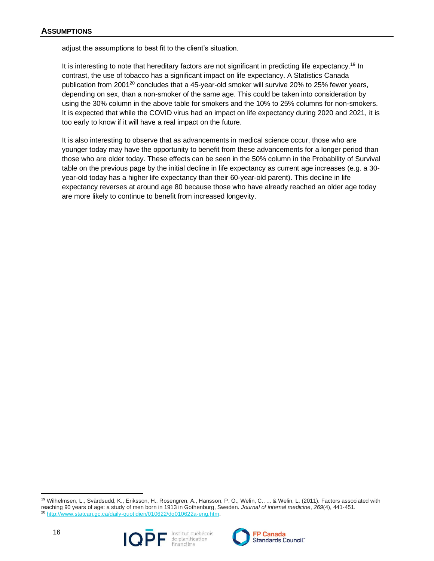adjust the assumptions to best fit to the client's situation.

It is interesting to note that hereditary factors are not significant in predicting life expectancy.<sup>19</sup> In contrast, the use of tobacco has a significant impact on life expectancy. A Statistics Canada publication from 2001<sup>20</sup> concludes that a 45-year-old smoker will survive 20% to 25% fewer years, depending on sex, than a non-smoker of the same age. This could be taken into consideration by using the 30% column in the above table for smokers and the 10% to 25% columns for non-smokers. It is expected that while the COVID virus had an impact on life expectancy during 2020 and 2021, it is too early to know if it will have a real impact on the future.

It is also interesting to observe that as advancements in medical science occur, those who are younger today may have the opportunity to benefit from these advancements for a longer period than those who are older today. These effects can be seen in the 50% column in the Probability of Survival table on the previous page by the initial decline in life expectancy as current age increases (e.g. a 30 year-old today has a higher life expectancy than their 60-year-old parent). This decline in life expectancy reverses at around age 80 because those who have already reached an older age today are more likely to continue to benefit from increased longevity.

<sup>19</sup> Wilhelmsen, L., Svärdsudd, K., Eriksson, H., Rosengren, A., Hansson, P. O., Welin, C., ... & Welin, L. (2011). Factors associated with reaching 90 years of age: a study of men born in 1913 in Gothenburg, Sweden. *Journal of internal medicine*, *269*(4), 441-451. http://www.statcan.gc.ca/daily-guotidien/010622/dq010622a-eng.htm.

16



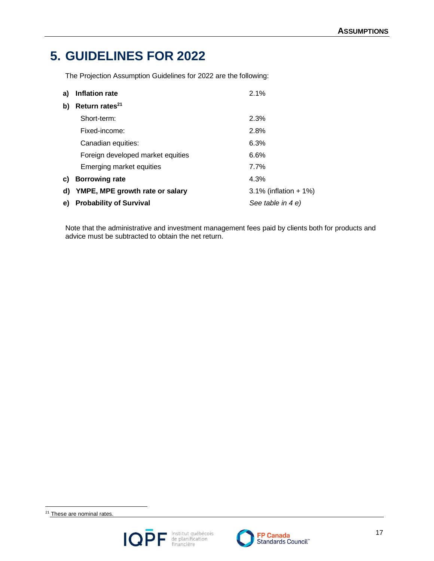# <span id="page-16-0"></span>**5. GUIDELINES FOR 2022**

The Projection Assumption Guidelines for 2022 are the following:

| a) | Inflation rate                    | 2.1%                     |
|----|-----------------------------------|--------------------------|
| b) | Return rates <sup>21</sup>        |                          |
|    | Short-term:                       | 2.3%                     |
|    | Fixed-income:                     | 2.8%                     |
|    | Canadian equities:                | 6.3%                     |
|    | Foreign developed market equities | 6.6%                     |
|    | Emerging market equities          | 7.7%                     |
| C) | <b>Borrowing rate</b>             | 4.3%                     |
| d) | YMPE, MPE growth rate or salary   | $3.1\%$ (inflation + 1%) |
| e) | <b>Probability of Survival</b>    | See table in 4 e)        |

Note that the administrative and investment management fees paid by clients both for products and advice must be subtracted to obtain the net return.

<sup>21</sup> These are nominal rates.



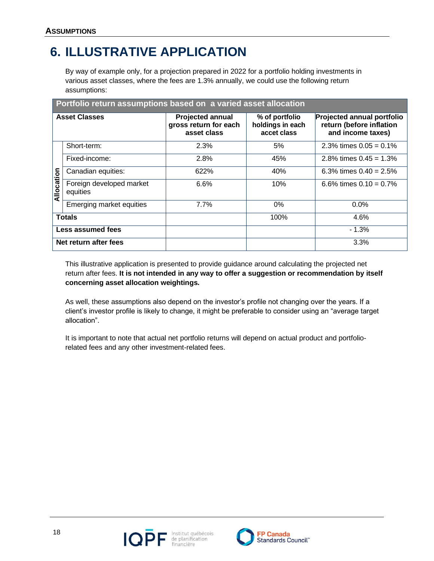# <span id="page-17-0"></span>**6. ILLUSTRATIVE APPLICATION**

By way of example only, for a projection prepared in 2022 for a portfolio holding investments in various asset classes, where the fees are 1.3% annually, we could use the following return assumptions:

|            | Portfolio return assumptions based on a varied asset allocation |                                                                 |                                                   |                                                                                    |  |  |  |  |  |  |  |  |
|------------|-----------------------------------------------------------------|-----------------------------------------------------------------|---------------------------------------------------|------------------------------------------------------------------------------------|--|--|--|--|--|--|--|--|
|            | <b>Asset Classes</b>                                            | <b>Projected annual</b><br>gross return for each<br>asset class | % of portfolio<br>holdings in each<br>accet class | <b>Projected annual portfolio</b><br>return (before inflation<br>and income taxes) |  |  |  |  |  |  |  |  |
|            | Short-term:                                                     | 2.3%                                                            | 5%                                                | 2.3% times $0.05 = 0.1\%$                                                          |  |  |  |  |  |  |  |  |
|            | Fixed-income:                                                   | 2.8%                                                            | 45%                                               | 2.8% times $0.45 = 1.3\%$                                                          |  |  |  |  |  |  |  |  |
|            | Canadian equities:                                              | 622%                                                            | 40%                                               | 6.3% times $0.40 = 2.5%$                                                           |  |  |  |  |  |  |  |  |
| Allocation | Foreign developed market<br>equities                            | 6.6%                                                            | 10%                                               | 6.6% times $0.10 = 0.7\%$                                                          |  |  |  |  |  |  |  |  |
|            | Emerging market equities                                        | 7.7%                                                            | $0\%$                                             | 0.0%                                                                               |  |  |  |  |  |  |  |  |
|            | <b>Totals</b>                                                   |                                                                 | 100%                                              | 4.6%                                                                               |  |  |  |  |  |  |  |  |
|            | <b>Less assumed fees</b>                                        |                                                                 |                                                   | $-1.3%$                                                                            |  |  |  |  |  |  |  |  |
|            | Net return after fees                                           |                                                                 |                                                   | 3.3%                                                                               |  |  |  |  |  |  |  |  |

This illustrative application is presented to provide guidance around calculating the projected net return after fees. **It is not intended in any way to offer a suggestion or recommendation by itself concerning asset allocation weightings.**

As well, these assumptions also depend on the investor's profile not changing over the years. If a client's investor profile is likely to change, it might be preferable to consider using an "average target allocation".

It is important to note that actual net portfolio returns will depend on actual product and portfoliorelated fees and any other investment-related fees.